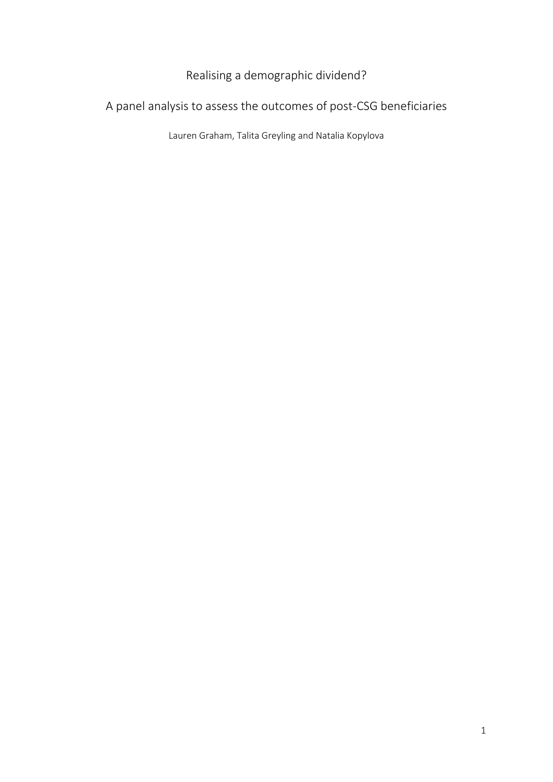# Realising a demographic dividend?

# A panel analysis to assess the outcomes of post-CSG beneficiaries

Lauren Graham, Talita Greyling and Natalia Kopylova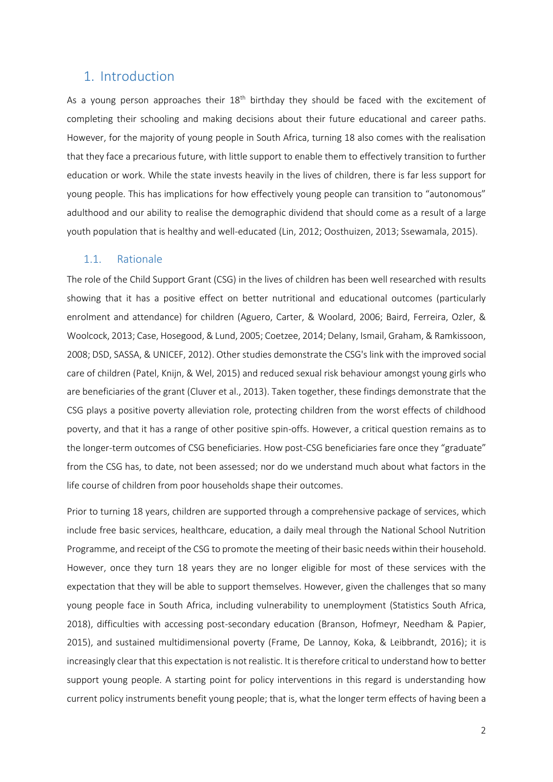## 1. Introduction

As a young person approaches their  $18<sup>th</sup>$  birthday they should be faced with the excitement of completing their schooling and making decisions about their future educational and career paths. However, for the majority of young people in South Africa, turning 18 also comes with the realisation that they face a precarious future, with little support to enable them to effectively transition to further education or work. While the state invests heavily in the lives of children, there is far less support for young people. This has implications for how effectively young people can transition to "autonomous" adulthood and our ability to realise the demographic dividend that should come as a result of a large youth population that is healthy and well-educated (Lin, 2012; Oosthuizen, 2013; Ssewamala, 2015).

## 1.1. Rationale

The role of the Child Support Grant (CSG) in the lives of children has been well researched with results showing that it has a positive effect on better nutritional and educational outcomes (particularly enrolment and attendance) for children (Aguero, Carter, & Woolard, 2006; Baird, Ferreira, Ozler, & Woolcock, 2013; Case, Hosegood, & Lund, 2005; Coetzee, 2014; Delany, Ismail, Graham, & Ramkissoon, 2008; DSD, SASSA, & UNICEF, 2012). Other studies demonstrate the CSG's link with the improved social care of children (Patel, Knijn, & Wel, 2015) and reduced sexual risk behaviour amongst young girls who are beneficiaries of the grant (Cluver et al., 2013). Taken together, these findings demonstrate that the CSG plays a positive poverty alleviation role, protecting children from the worst effects of childhood poverty, and that it has a range of other positive spin-offs. However, a critical question remains as to the longer-term outcomes of CSG beneficiaries. How post-CSG beneficiaries fare once they "graduate" from the CSG has, to date, not been assessed; nor do we understand much about what factors in the life course of children from poor households shape their outcomes.

Prior to turning 18 years, children are supported through a comprehensive package of services, which include free basic services, healthcare, education, a daily meal through the National School Nutrition Programme, and receipt of the CSG to promote the meeting of their basic needs within their household. However, once they turn 18 years they are no longer eligible for most of these services with the expectation that they will be able to support themselves. However, given the challenges that so many young people face in South Africa, including vulnerability to unemployment (Statistics South Africa, 2018), difficulties with accessing post-secondary education (Branson, Hofmeyr, Needham & Papier, 2015), and sustained multidimensional poverty (Frame, De Lannoy, Koka, & Leibbrandt, 2016); it is increasingly clear that this expectation is not realistic. It is therefore critical to understand how to better support young people. A starting point for policy interventions in this regard is understanding how current policy instruments benefit young people; that is, what the longer term effects of having been a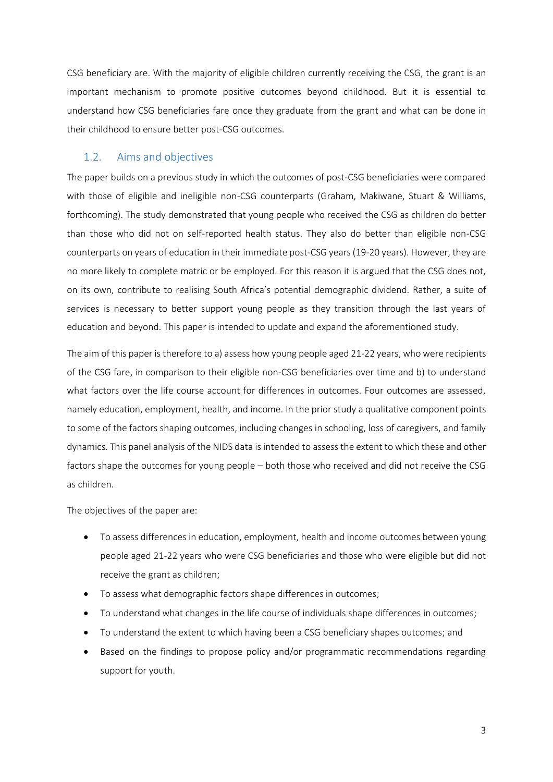CSG beneficiary are. With the majority of eligible children currently receiving the CSG, the grant is an important mechanism to promote positive outcomes beyond childhood. But it is essential to understand how CSG beneficiaries fare once they graduate from the grant and what can be done in their childhood to ensure better post-CSG outcomes.

## 1.2. Aims and objectives

The paper builds on a previous study in which the outcomes of post-CSG beneficiaries were compared with those of eligible and ineligible non-CSG counterparts (Graham, Makiwane, Stuart & Williams, forthcoming). The study demonstrated that young people who received the CSG as children do better than those who did not on self-reported health status. They also do better than eligible non-CSG counterparts on years of education in their immediate post-CSG years (19-20 years). However, they are no more likely to complete matric or be employed. For this reason it is argued that the CSG does not, on its own, contribute to realising South Africa's potential demographic dividend. Rather, a suite of services is necessary to better support young people as they transition through the last years of education and beyond. This paper is intended to update and expand the aforementioned study.

The aim of this paper is therefore to a) assess how young people aged 21-22 years, who were recipients of the CSG fare, in comparison to their eligible non-CSG beneficiaries over time and b) to understand what factors over the life course account for differences in outcomes. Four outcomes are assessed, namely education, employment, health, and income. In the prior study a qualitative component points to some of the factors shaping outcomes, including changes in schooling, loss of caregivers, and family dynamics. This panel analysis of the NIDS data is intended to assess the extent to which these and other factors shape the outcomes for young people – both those who received and did not receive the CSG as children.

The objectives of the paper are:

- To assess differences in education, employment, health and income outcomes between young people aged 21-22 years who were CSG beneficiaries and those who were eligible but did not receive the grant as children;
- To assess what demographic factors shape differences in outcomes;
- To understand what changes in the life course of individuals shape differences in outcomes;
- To understand the extent to which having been a CSG beneficiary shapes outcomes; and
- Based on the findings to propose policy and/or programmatic recommendations regarding support for youth.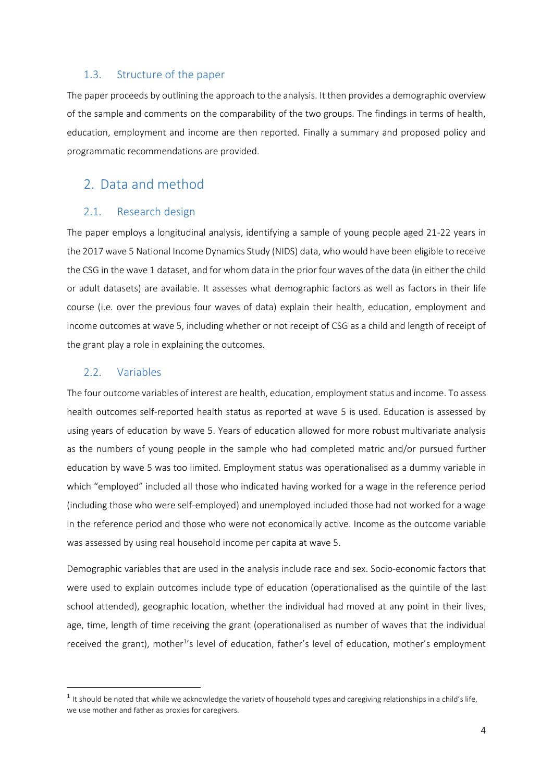### 1.3. Structure of the paper

The paper proceeds by outlining the approach to the analysis. It then provides a demographic overview of the sample and comments on the comparability of the two groups. The findings in terms of health, education, employment and income are then reported. Finally a summary and proposed policy and programmatic recommendations are provided.

## 2. Data and method

## 2.1. Research design

The paper employs a longitudinal analysis, identifying a sample of young people aged 21-22 years in the 2017 wave 5 National Income Dynamics Study (NIDS) data, who would have been eligible to receive the CSG in the wave 1 dataset, and for whom data in the prior four waves of the data (in either the child or adult datasets) are available. It assesses what demographic factors as well as factors in their life course (i.e. over the previous four waves of data) explain their health, education, employment and income outcomes at wave 5, including whether or not receipt of CSG as a child and length of receipt of the grant play a role in explaining the outcomes.

## 2.2. Variables

**.** 

The four outcome variables of interest are health, education, employment status and income. To assess health outcomes self-reported health status as reported at wave 5 is used. Education is assessed by using years of education by wave 5. Years of education allowed for more robust multivariate analysis as the numbers of young people in the sample who had completed matric and/or pursued further education by wave 5 was too limited. Employment status was operationalised as a dummy variable in which "employed" included all those who indicated having worked for a wage in the reference period (including those who were self-employed) and unemployed included those had not worked for a wage in the reference period and those who were not economically active. Income as the outcome variable was assessed by using real household income per capita at wave 5.

Demographic variables that are used in the analysis include race and sex. Socio-economic factors that were used to explain outcomes include type of education (operationalised as the quintile of the last school attended), geographic location, whether the individual had moved at any point in their lives, age, time, length of time receiving the grant (operationalised as number of waves that the individual received the grant), mother<sup>1</sup>'s level of education, father's level of education, mother's employment

 $1$  It should be noted that while we acknowledge the variety of household types and caregiving relationships in a child's life, we use mother and father as proxies for caregivers.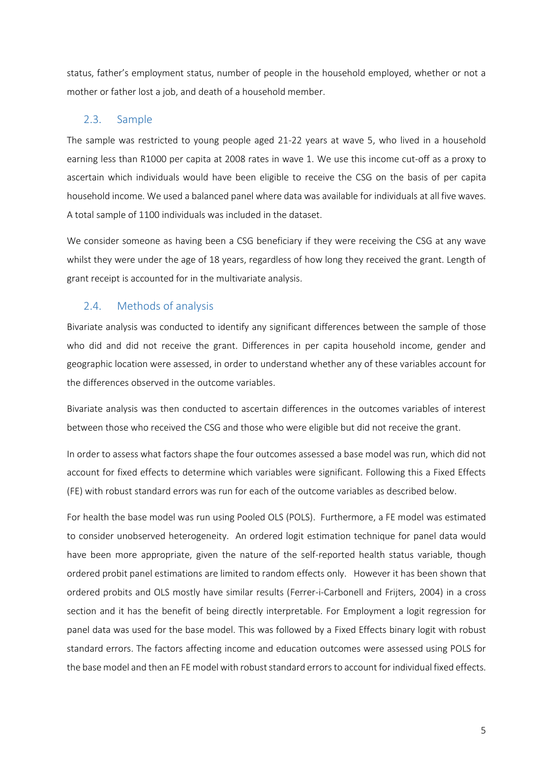status, father's employment status, number of people in the household employed, whether or not a mother or father lost a job, and death of a household member.

## 2.3. Sample

The sample was restricted to young people aged 21-22 years at wave 5, who lived in a household earning less than R1000 per capita at 2008 rates in wave 1. We use this income cut-off as a proxy to ascertain which individuals would have been eligible to receive the CSG on the basis of per capita household income. We used a balanced panel where data was available for individuals at all five waves. A total sample of 1100 individuals was included in the dataset.

We consider someone as having been a CSG beneficiary if they were receiving the CSG at any wave whilst they were under the age of 18 years, regardless of how long they received the grant. Length of grant receipt is accounted for in the multivariate analysis.

## 2.4. Methods of analysis

Bivariate analysis was conducted to identify any significant differences between the sample of those who did and did not receive the grant. Differences in per capita household income, gender and geographic location were assessed, in order to understand whether any of these variables account for the differences observed in the outcome variables.

Bivariate analysis was then conducted to ascertain differences in the outcomes variables of interest between those who received the CSG and those who were eligible but did not receive the grant.

In order to assess what factors shape the four outcomes assessed a base model was run, which did not account for fixed effects to determine which variables were significant. Following this a Fixed Effects (FE) with robust standard errors was run for each of the outcome variables as described below.

For health the base model was run using Pooled OLS (POLS). Furthermore, a FE model was estimated to consider unobserved heterogeneity. An ordered logit estimation technique for panel data would have been more appropriate, given the nature of the self-reported health status variable, though ordered probit panel estimations are limited to random effects only. However it has been shown that ordered probits and OLS mostly have similar results (Ferrer-i-Carbonell and Frijters, 2004) in a cross section and it has the benefit of being directly interpretable. For Employment a logit regression for panel data was used for the base model. This was followed by a Fixed Effects binary logit with robust standard errors. The factors affecting income and education outcomes were assessed using POLS for the base model and then an FE modelwith robust standard errors to account for individual fixed effects.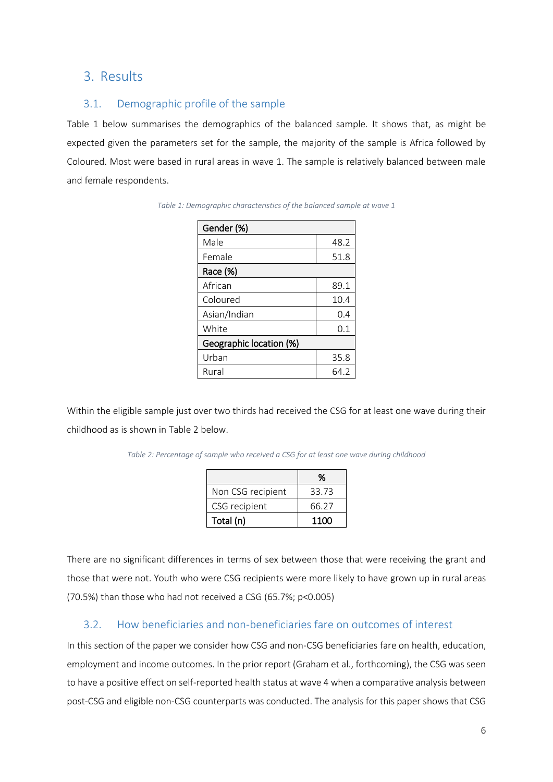## 3. Results

## 3.1. Demographic profile of the sample

Table 1 below summarises the demographics of the balanced sample. It shows that, as might be expected given the parameters set for the sample, the majority of the sample is Africa followed by Coloured. Most were based in rural areas in wave 1. The sample is relatively balanced between male and female respondents.

| Gender (%)              |      |
|-------------------------|------|
| Male                    | 48.2 |
| Female                  | 51.8 |
| Race (%)                |      |
| African                 | 89.1 |
| Coloured                | 10.4 |
| Asian/Indian            | 0.4  |
| White                   | 0.1  |
| Geographic location (%) |      |
| Urban                   | 35.8 |
| Rural                   | 64.2 |

| Table 1: Demographic characteristics of the balanced sample at wave 1 |  |  |
|-----------------------------------------------------------------------|--|--|
|-----------------------------------------------------------------------|--|--|

Within the eligible sample just over two thirds had received the CSG for at least one wave during their childhood as is shown in Table 2 below.

*Table 2: Percentage of sample who received a CSG for at least one wave during childhood*

|                   | %     |
|-------------------|-------|
| Non CSG recipient | 33.73 |
| CSG recipient     | 66.27 |
| Total (n)         | 1100  |

There are no significant differences in terms of sex between those that were receiving the grant and those that were not. Youth who were CSG recipients were more likely to have grown up in rural areas (70.5%) than those who had not received a CSG (65.7%; p<0.005)

## 3.2. How beneficiaries and non-beneficiaries fare on outcomes of interest

In this section of the paper we consider how CSG and non-CSG beneficiaries fare on health, education, employment and income outcomes. In the prior report (Graham et al., forthcoming), the CSG was seen to have a positive effect on self-reported health status at wave 4 when a comparative analysis between post-CSG and eligible non-CSG counterparts was conducted. The analysis for this paper shows that CSG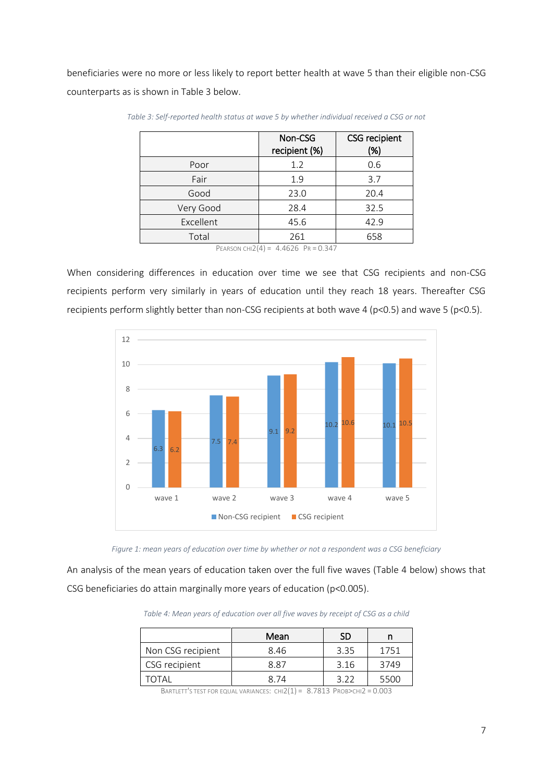beneficiaries were no more or less likely to report better health at wave 5 than their eligible non-CSG counterparts as is shown in Table 3 below.

|           | Non-CSG<br>recipient (%)                             | <b>CSG</b> recipient<br>(%) |
|-----------|------------------------------------------------------|-----------------------------|
| Poor      | 1.2                                                  | 0.6                         |
| Fair      | 1.9                                                  | 3.7                         |
| Good      | 23.0                                                 | 20.4                        |
| Very Good | 28.4                                                 | 32.5                        |
| Excellent | 45.6                                                 | 42.9                        |
| Total     | 261                                                  | 658                         |
|           | $D_{LAPCON}$ $C(1)$ $1/4$ $ A$ $ACDG$ $DD - 0$ $247$ |                             |

*Table 3: Self-reported health status at wave 5 by whether individual received a CSG or not*

PEARSON CHI2(4) =  $4.4626$  PR = 0.347

When considering differences in education over time we see that CSG recipients and non-CSG recipients perform very similarly in years of education until they reach 18 years. Thereafter CSG recipients perform slightly better than non-CSG recipients at both wave 4 (p<0.5) and wave 5 (p<0.5).



*Figure 1: mean years of education over time by whether or not a respondent was a CSG beneficiary* 

An analysis of the mean years of education taken over the full five waves (Table 4 below) shows that CSG beneficiaries do attain marginally more years of education (p<0.005).

*Table 4: Mean years of education over all five waves by receipt of CSG as a child*

|                   | Mean | SD   |      |
|-------------------|------|------|------|
| Non CSG recipient | 8.46 | 3.35 | 1751 |
| CSG recipient     | 8 87 | 3.16 | 3749 |
| ΤΩΤΑΙ             | 8 74 |      | 5500 |

BARTLETT'S TEST FOR EQUAL VARIANCES:  $CHI2(1) = 8.7813$  Prob>chi2 = 0.003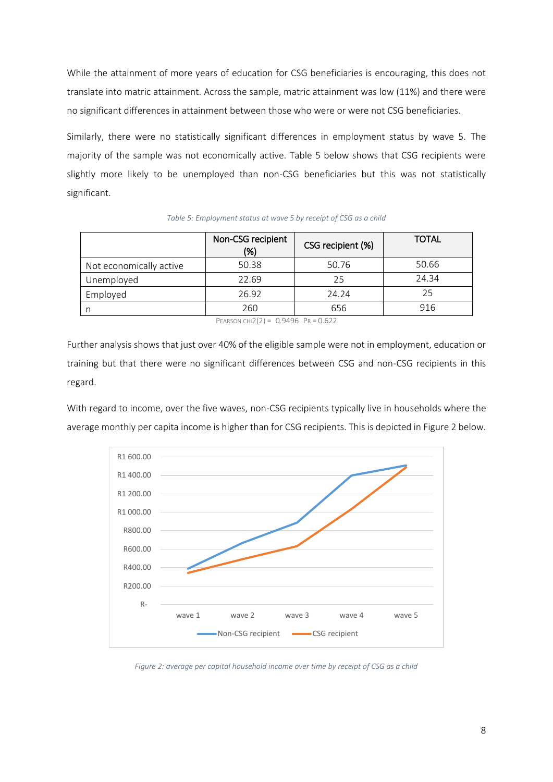While the attainment of more years of education for CSG beneficiaries is encouraging, this does not translate into matric attainment. Across the sample, matric attainment was low (11%) and there were no significant differences in attainment between those who were or were not CSG beneficiaries.

Similarly, there were no statistically significant differences in employment status by wave 5. The majority of the sample was not economically active. Table 5 below shows that CSG recipients were slightly more likely to be unemployed than non-CSG beneficiaries but this was not statistically significant.

|                         | Non-CSG recipient<br>(%) | CSG recipient (%) | <b>TOTAL</b> |
|-------------------------|--------------------------|-------------------|--------------|
| Not economically active | 50.38                    | 50.76             | 50.66        |
| Unemployed              | 22.69                    | 25                | 24.34        |
| Employed                | 26.92                    | 24.24             | 25           |
| n                       | 260                      | 656               | 916          |
|                         | $\sim$ $\sim$ $\sim$     |                   |              |

#### *Table 5: Employment status at wave 5 by receipt of CSG as a child*

PEARSON CHI2(2) =  $0.9496$  PR = 0.622

Further analysis shows that just over 40% of the eligible sample were not in employment, education or training but that there were no significant differences between CSG and non-CSG recipients in this regard.

With regard to income, over the five waves, non-CSG recipients typically live in households where the average monthly per capita income is higher than for CSG recipients. This is depicted in Figure 2 below.



*Figure 2: average per capital household income over time by receipt of CSG as a child*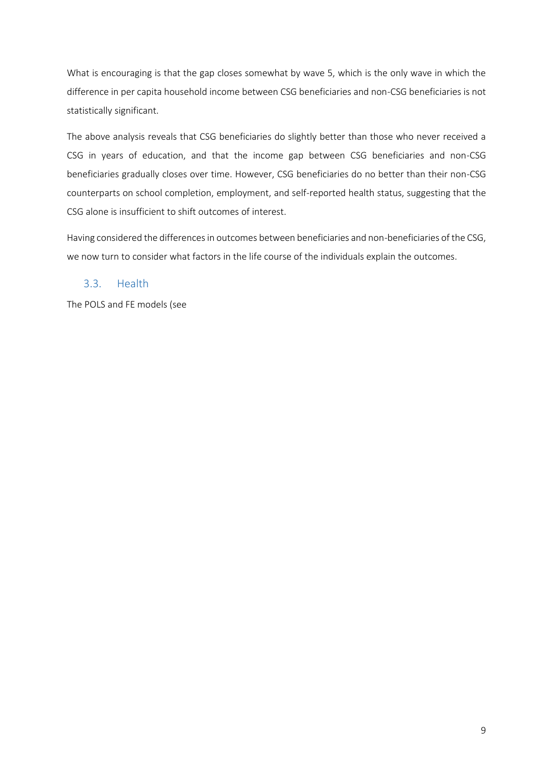What is encouraging is that the gap closes somewhat by wave 5, which is the only wave in which the difference in per capita household income between CSG beneficiaries and non-CSG beneficiaries is not statistically significant.

The above analysis reveals that CSG beneficiaries do slightly better than those who never received a CSG in years of education, and that the income gap between CSG beneficiaries and non-CSG beneficiaries gradually closes over time. However, CSG beneficiaries do no better than their non-CSG counterparts on school completion, employment, and self-reported health status, suggesting that the CSG alone is insufficient to shift outcomes of interest.

Having considered the differences in outcomes between beneficiaries and non-beneficiaries of the CSG, we now turn to consider what factors in the life course of the individuals explain the outcomes.

## 3.3. Health

The POLS and FE models (see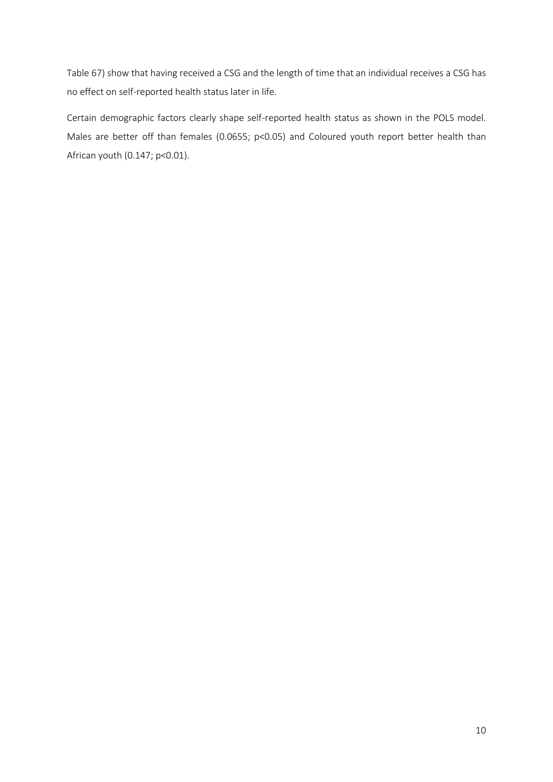[Table 67](#page-9-0)) show that having received a CSG and the length of time that an individual receives a CSG has no effect on self-reported health status later in life.

<span id="page-9-0"></span>Certain demographic factors clearly shape self-reported health status as shown in the POLS model. Males are better off than females (0.0655; p<0.05) and Coloured youth report better health than African youth (0.147; p<0.01).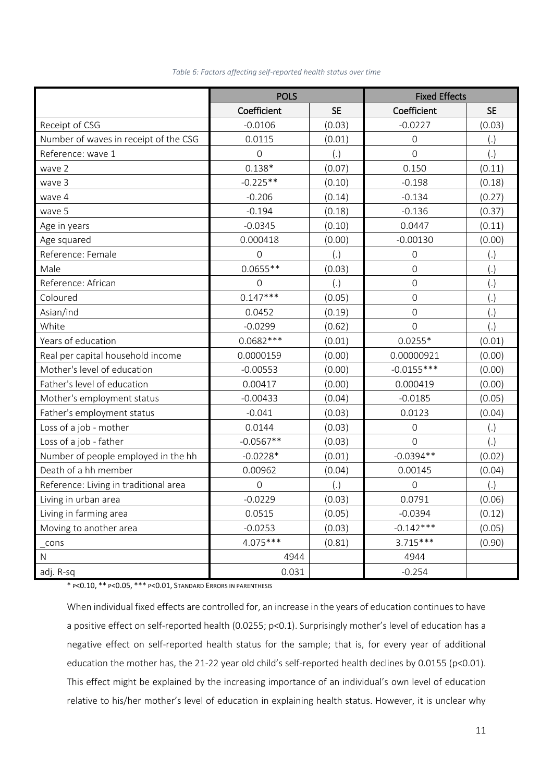|                                       | <b>POLS</b> |           | <b>Fixed Effects</b> |           |
|---------------------------------------|-------------|-----------|----------------------|-----------|
|                                       | Coefficient | <b>SE</b> | Coefficient          | <b>SE</b> |
| Receipt of CSG                        | $-0.0106$   | (0.03)    | $-0.0227$            | (0.03)    |
| Number of waves in receipt of the CSG | 0.0115      | (0.01)    | $\mathbf 0$          | (.)       |
| Reference: wave 1                     | 0           | (.)       | $\overline{0}$       | (.)       |
| wave 2                                | $0.138*$    | (0.07)    | 0.150                | (0.11)    |
| wave 3                                | $-0.225**$  | (0.10)    | $-0.198$             | (0.18)    |
| wave 4                                | $-0.206$    | (0.14)    | $-0.134$             | (0.27)    |
| wave 5                                | $-0.194$    | (0.18)    | $-0.136$             | (0.37)    |
| Age in years                          | $-0.0345$   | (0.10)    | 0.0447               | (0.11)    |
| Age squared                           | 0.000418    | (0.00)    | $-0.00130$           | (0.00)    |
| Reference: Female                     | 0           | (.)       | $\mathbf 0$          | (.)       |
| Male                                  | $0.0655**$  | (0.03)    | $\overline{0}$       | (.)       |
| Reference: African                    | $\mathbf 0$ | (.)       | $\mathbf 0$          | (.)       |
| Coloured                              | $0.147***$  | (0.05)    | $\mathbf 0$          | (.)       |
| Asian/ind                             | 0.0452      | (0.19)    | $\overline{0}$       | (.)       |
| White                                 | $-0.0299$   | (0.62)    | $\mathbf 0$          | (.)       |
| Years of education                    | $0.0682***$ | (0.01)    | $0.0255*$            | (0.01)    |
| Real per capital household income     | 0.0000159   | (0.00)    | 0.00000921           | (0.00)    |
| Mother's level of education           | $-0.00553$  | (0.00)    | $-0.0155***$         | (0.00)    |
| Father's level of education           | 0.00417     | (0.00)    | 0.000419             | (0.00)    |
| Mother's employment status            | $-0.00433$  | (0.04)    | $-0.0185$            | (0.05)    |
| Father's employment status            | $-0.041$    | (0.03)    | 0.0123               | (0.04)    |
| Loss of a job - mother                | 0.0144      | (0.03)    | $\mathbf 0$          | (.)       |
| Loss of a job - father                | $-0.0567**$ | (0.03)    | $\overline{0}$       | (.)       |
| Number of people employed in the hh   | $-0.0228*$  | (0.01)    | $-0.0394**$          | (0.02)    |
| Death of a hh member                  | 0.00962     | (0.04)    | 0.00145              | (0.04)    |
| Reference: Living in traditional area | 0           | (.)       | $\mathbf 0$          | (.)       |
| Living in urban area                  | $-0.0229$   | (0.03)    | 0.0791               | (0.06)    |
| Living in farming area                | 0.0515      | (0.05)    | $-0.0394$            | (0.12)    |
| Moving to another area                | $-0.0253$   | (0.03)    | $-0.142***$          | (0.05)    |
| cons                                  | $4.075***$  | (0.81)    | $3.715***$           | (0.90)    |
| ${\sf N}$                             | 4944        |           | 4944                 |           |
| adj. R-sq                             | 0.031       |           | $-0.254$             |           |

#### *Table 6: Factors affecting self-reported health status over time*

\* P<0.10, \*\* P<0.05, \*\*\* P<0.01, STANDARD ERRORS IN PARENTHESIS

When individual fixed effects are controlled for, an increase in the years of education continues to have a positive effect on self-reported health (0.0255; p<0.1). Surprisingly mother's level of education has a negative effect on self-reported health status for the sample; that is, for every year of additional education the mother has, the 21-22 year old child's self-reported health declines by 0.0155 (p<0.01). This effect might be explained by the increasing importance of an individual's own level of education relative to his/her mother's level of education in explaining health status. However, it is unclear why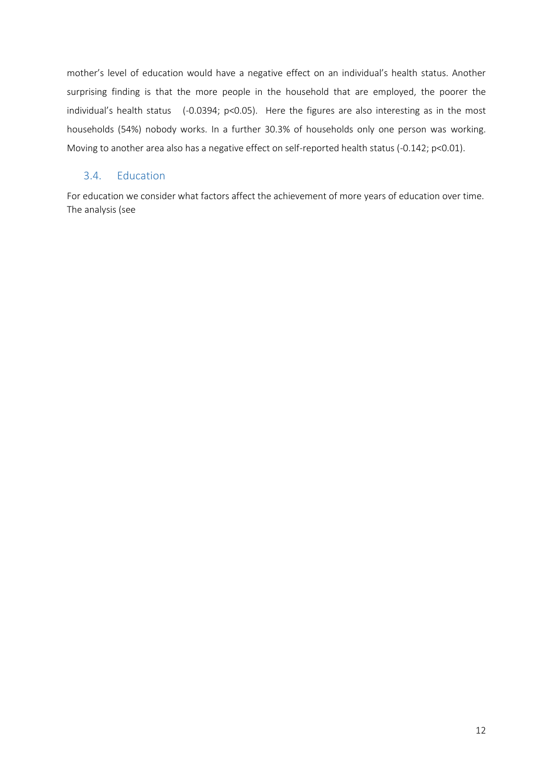mother's level of education would have a negative effect on an individual's health status. Another surprising finding is that the more people in the household that are employed, the poorer the individual's health status (-0.0394; p<0.05). Here the figures are also interesting as in the most households (54%) nobody works. In a further 30.3% of households only one person was working. Moving to another area also has a negative effect on self-reported health status (-0.142; p<0.01).

### 3.4. Education

For education we consider what factors affect the achievement of more years of education over time. The analysis (se[e](#page-12-0)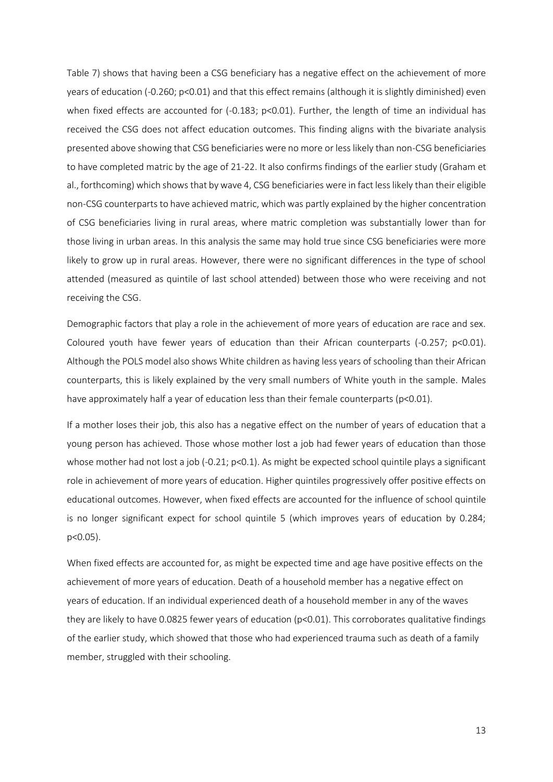[Table 7\)](#page-12-0) shows that having been a CSG beneficiary has a negative effect on the achievement of more years of education (-0.260; p<0.01) and that this effect remains (although it is slightly diminished) even when fixed effects are accounted for (-0.183; p<0.01). Further, the length of time an individual has received the CSG does not affect education outcomes. This finding aligns with the bivariate analysis presented above showing that CSG beneficiaries were no more or less likely than non-CSG beneficiaries to have completed matric by the age of 21-22. It also confirms findings of the earlier study (Graham et al., forthcoming) which showsthat by wave 4, CSG beneficiaries were in fact less likely than their eligible non-CSG counterparts to have achieved matric, which was partly explained by the higher concentration of CSG beneficiaries living in rural areas, where matric completion was substantially lower than for those living in urban areas. In this analysis the same may hold true since CSG beneficiaries were more likely to grow up in rural areas. However, there were no significant differences in the type of school attended (measured as quintile of last school attended) between those who were receiving and not receiving the CSG.

Demographic factors that play a role in the achievement of more years of education are race and sex. Coloured youth have fewer years of education than their African counterparts (-0.257; p<0.01). Although the POLS model also shows White children as having less years of schooling than their African counterparts, this is likely explained by the very small numbers of White youth in the sample. Males have approximately half a year of education less than their female counterparts (p<0.01).

If a mother loses their job, this also has a negative effect on the number of years of education that a young person has achieved. Those whose mother lost a job had fewer years of education than those whose mother had not lost a job (-0.21; p<0.1). As might be expected school quintile plays a significant role in achievement of more years of education. Higher quintiles progressively offer positive effects on educational outcomes. However, when fixed effects are accounted for the influence of school quintile is no longer significant expect for school quintile 5 (which improves years of education by 0.284; p<0.05).

<span id="page-12-0"></span>When fixed effects are accounted for, as might be expected time and age have positive effects on the achievement of more years of education. Death of a household member has a negative effect on years of education. If an individual experienced death of a household member in any of the waves they are likely to have 0.0825 fewer years of education ( $p<0.01$ ). This corroborates qualitative findings of the earlier study, which showed that those who had experienced trauma such as death of a family member, struggled with their schooling.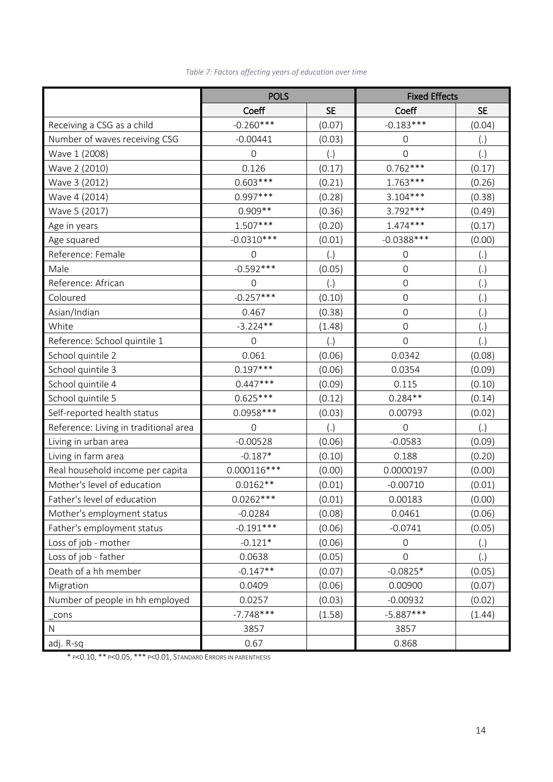|                                       | <b>POLS</b>         |           | <b>Fixed Effects</b> |           |
|---------------------------------------|---------------------|-----------|----------------------|-----------|
|                                       | Coeff               | <b>SE</b> | Coeff                | <b>SE</b> |
| Receiving a CSG as a child            | $-0.260***$         | (0.07)    | $-0.183***$          | (0.04)    |
| Number of waves receiving CSG         | $-0.00441$          | (0.03)    | $\mathsf{O}$         | (.)       |
| Wave 1 (2008)                         | $\mathsf{O}\xspace$ | (.)       | 0                    | (.)       |
| Wave 2 (2010)                         | 0.126               | (0.17)    | $0.762***$           | (0.17)    |
| Wave 3 (2012)                         | $0.603***$          | (0.21)    | $1.763***$           | (0.26)    |
| Wave 4 (2014)                         | $0.997***$          | (0.28)    | $3.104***$           | (0.38)    |
| Wave 5 (2017)                         | $0.909**$           | (0.36)    | 3.792 ***            | (0.49)    |
| Age in years                          | 1.507***            | (0.20)    | $1.474***$           | (0.17)    |
| Age squared                           | $-0.0310***$        | (0.01)    | $-0.0388***$         | (0.00)    |
| Reference: Female                     | $\mathsf{O}$        | (.)       | $\mathsf{O}\xspace$  | (.)       |
| Male                                  | $-0.592***$         | (0.05)    | $\mathsf{O}\xspace$  | (.)       |
| Reference: African                    | $\mathsf{O}\xspace$ | (.)       | $\mathsf{O}\xspace$  | (.)       |
| Coloured                              | $-0.257***$         | (0.10)    | $\boldsymbol{0}$     | (.)       |
| Asian/Indian                          | 0.467               | (0.38)    | $\mathsf{O}\xspace$  | (.)       |
| White                                 | $-3.224**$          | (1.48)    | $\mathsf{O}$         | (.)       |
| Reference: School quintile 1          | $\overline{0}$      | (.)       | $\mathbf 0$          | (.)       |
| School quintile 2                     | 0.061               | (0.06)    | 0.0342               | (0.08)    |
| School quintile 3                     | $0.197***$          | (0.06)    | 0.0354               | (0.09)    |
| School quintile 4                     | $0.447***$          | (0.09)    | 0.115                | (0.10)    |
| School quintile 5                     | $0.625***$          | (0.12)    | $0.284**$            | (0.14)    |
| Self-reported health status           | $0.0958***$         | (0.03)    | 0.00793              | (0.02)    |
| Reference: Living in traditional area | 0                   | (.)       | 0                    | (.)       |
| Living in urban area                  | $-0.00528$          | (0.06)    | $-0.0583$            | (0.09)    |
| Living in farm area                   | $-0.187*$           | (0.10)    | 0.188                | (0.20)    |
| Real household income per capita      | $0.000116***$       | (0.00)    | 0.0000197            | (0.00)    |
| Mother's level of education           | $0.0162**$          | (0.01)    | $-0.00710$           | (0.01)    |
| Father's level of education           | $0.0262***$         | (0.01)    | 0.00183              | (0.00)    |
| Mother's employment status            | $-0.0284$           | (0.08)    | 0.0461               | (0.06)    |
| Father's employment status            | $-0.191***$         | (0.06)    | $-0.0741$            | (0.05)    |
| Loss of job - mother                  | $-0.121*$           | (0.06)    | 0                    | (.)       |
| Loss of job - father                  | 0.0638              | (0.05)    | 0                    | (.)       |
| Death of a hh member                  | $-0.147**$          | (0.07)    | $-0.0825*$           | (0.05)    |
| Migration                             | 0.0409              | (0.06)    | 0.00900              | (0.07)    |
| Number of people in hh employed       | 0.0257              | (0.03)    | $-0.00932$           | (0.02)    |
| cons                                  | $-7.748***$         | (1.58)    | $-5.887***$          | (1.44)    |
| $\mathsf{N}$                          | 3857                |           | 3857                 |           |
| adj. R-sq                             | 0.67                |           | 0.868                |           |

## *Table 7: Factors affecting years of education over time*

\* P<0.10, \*\* P<0.05, \*\*\* P<0.01, STANDARD ERRORS IN PARENTHESIS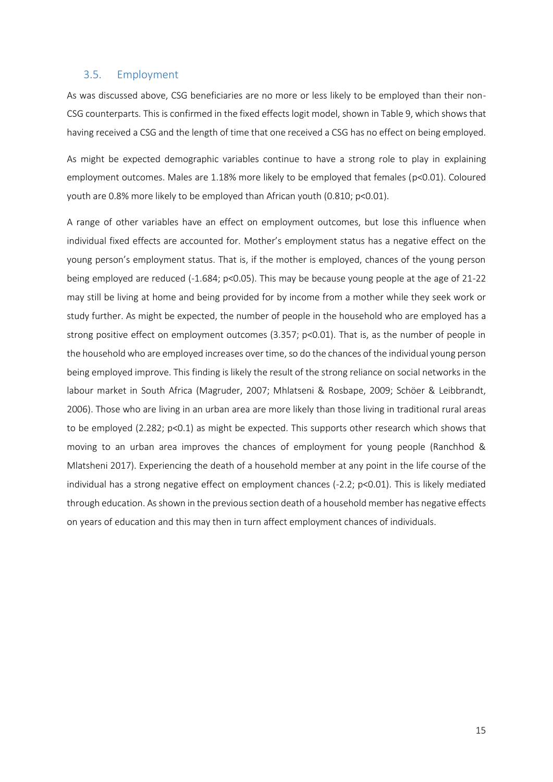#### 3.5. Employment

As was discussed above, CSG beneficiaries are no more or less likely to be employed than their non-CSG counterparts. This is confirmed in the fixed effects logit model, shown in Table 9, which shows that having received a CSG and the length of time that one received a CSG has no effect on being employed.

As might be expected demographic variables continue to have a strong role to play in explaining employment outcomes. Males are 1.18% more likely to be employed that females (p<0.01). Coloured youth are 0.8% more likely to be employed than African youth (0.810; p<0.01).

A range of other variables have an effect on employment outcomes, but lose this influence when individual fixed effects are accounted for. Mother's employment status has a negative effect on the young person's employment status. That is, if the mother is employed, chances of the young person being employed are reduced (-1.684; p<0.05). This may be because young people at the age of 21-22 may still be living at home and being provided for by income from a mother while they seek work or study further. As might be expected, the number of people in the household who are employed has a strong positive effect on employment outcomes (3.357; p<0.01). That is, as the number of people in the household who are employed increases over time, so do the chances of the individual young person being employed improve. This finding is likely the result of the strong reliance on social networks in the labour market in South Africa (Magruder, 2007; Mhlatseni & Rosbape, 2009; Schöer & Leibbrandt, 2006). Those who are living in an urban area are more likely than those living in traditional rural areas to be employed (2.282; p<0.1) as might be expected. This supports other research which shows that moving to an urban area improves the chances of employment for young people (Ranchhod & Mlatsheni 2017). Experiencing the death of a household member at any point in the life course of the individual has a strong negative effect on employment chances (-2.2; p<0.01). This is likely mediated through education. Asshown in the previous section death of a household member has negative effects on years of education and this may then in turn affect employment chances of individuals.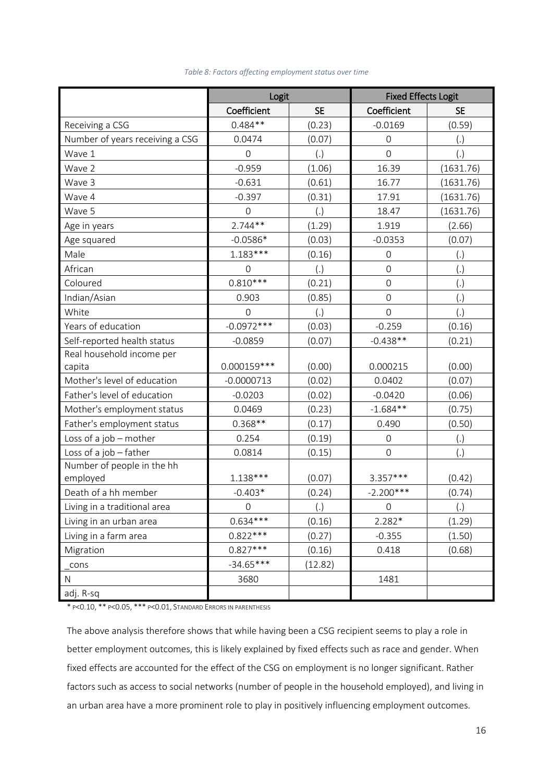|                                 | Logit               |           | <b>Fixed Effects Logit</b> |           |
|---------------------------------|---------------------|-----------|----------------------------|-----------|
|                                 | Coefficient         | <b>SE</b> | Coefficient                | <b>SE</b> |
| Receiving a CSG                 | $0.484**$           | (0.23)    | $-0.0169$                  | (0.59)    |
| Number of years receiving a CSG | 0.0474              | (0.07)    | $\mathsf{O}\xspace$        | (.)       |
| Wave 1                          | $\mathbf 0$         | (.)       | $\mathbf 0$                | (.)       |
| Wave 2                          | $-0.959$            | (1.06)    | 16.39                      | (1631.76) |
| Wave 3                          | $-0.631$            | (0.61)    | 16.77                      | (1631.76) |
| Wave 4                          | $-0.397$            | (0.31)    | 17.91                      | (1631.76) |
| Wave 5                          | $\mathbf 0$         | (.)       | 18.47                      | (1631.76) |
| Age in years                    | $2.744**$           | (1.29)    | 1.919                      | (2.66)    |
| Age squared                     | $-0.0586*$          | (0.03)    | $-0.0353$                  | (0.07)    |
| Male                            | $1.183***$          | (0.16)    | $\mathbf 0$                | (.)       |
| African                         | $\mathbf 0$         | (.)       | $\mathbf 0$                | (.)       |
| Coloured                        | $0.810***$          | (0.21)    | $\overline{0}$             | (.)       |
| Indian/Asian                    | 0.903               | (0.85)    | $\mathbf 0$                | (.)       |
| White                           | $\mathbf 0$         | (.)       | $\mathbf 0$                | (.)       |
| Years of education              | $-0.0972***$        | (0.03)    | $-0.259$                   | (0.16)    |
| Self-reported health status     | $-0.0859$           | (0.07)    | $-0.438**$                 | (0.21)    |
| Real household income per       |                     |           |                            |           |
| capita                          | $0.000159***$       | (0.00)    | 0.000215                   | (0.00)    |
| Mother's level of education     | $-0.0000713$        | (0.02)    | 0.0402                     | (0.07)    |
| Father's level of education     | $-0.0203$           | (0.02)    | $-0.0420$                  | (0.06)    |
| Mother's employment status      | 0.0469              | (0.23)    | $-1.684**$                 | (0.75)    |
| Father's employment status      | $0.368**$           | (0.17)    | 0.490                      | (0.50)    |
| Loss of a job - mother          | 0.254               | (0.19)    | $\mathbf 0$                | (.)       |
| Loss of a job - father          | 0.0814              | (0.15)    | $\mathbf 0$                | (.)       |
| Number of people in the hh      |                     |           |                            |           |
| employed                        | $1.138***$          | (0.07)    | $3.357***$                 | (0.42)    |
| Death of a hh member            | $-0.403*$           | (0.24)    | $-2.200***$                | (0.74)    |
| Living in a traditional area    | $\mathsf{O}\xspace$ | (.)       | $\mathbf 0$                | (.)       |
| Living in an urban area         | $0.634***$          | (0.16)    | $2.282*$                   | (1.29)    |
| Living in a farm area           | $0.822***$          | (0.27)    | $-0.355$                   | (1.50)    |
| Migration                       | $0.827***$          | (0.16)    | 0.418                      | (0.68)    |
| cons                            | $-34.65***$         | (12.82)   |                            |           |
| ${\sf N}$                       | 3680                |           | 1481                       |           |
| adj. R-sq                       |                     |           |                            |           |

*Table 8: Factors affecting employment status over time*

\* P<0.10, \*\* P<0.05, \*\*\* P<0.01, STANDARD ERRORS IN PARENTHESIS

The above analysis therefore shows that while having been a CSG recipient seems to play a role in better employment outcomes, this is likely explained by fixed effects such as race and gender. When fixed effects are accounted for the effect of the CSG on employment is no longer significant. Rather factors such as access to social networks (number of people in the household employed), and living in an urban area have a more prominent role to play in positively influencing employment outcomes.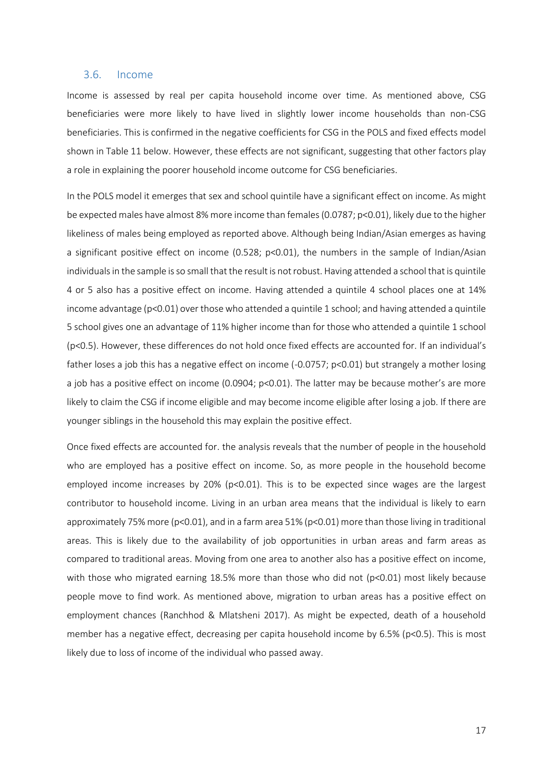#### 3.6. Income

Income is assessed by real per capita household income over time. As mentioned above, CSG beneficiaries were more likely to have lived in slightly lower income households than non-CSG beneficiaries. This is confirmed in the negative coefficients for CSG in the POLS and fixed effects model shown in Table 11 below. However, these effects are not significant, suggesting that other factors play a role in explaining the poorer household income outcome for CSG beneficiaries.

In the POLS model it emerges that sex and school quintile have a significant effect on income. As might be expected males have almost 8% more income than females(0.0787; p<0.01), likely due to the higher likeliness of males being employed as reported above. Although being Indian/Asian emerges as having a significant positive effect on income (0.528; p<0.01), the numbers in the sample of Indian/Asian individuals in the sample is so small that the result is not robust. Having attended a school that is quintile 4 or 5 also has a positive effect on income. Having attended a quintile 4 school places one at 14% income advantage (p<0.01) over those who attended a quintile 1 school; and having attended a quintile 5 school gives one an advantage of 11% higher income than for those who attended a quintile 1 school (p<0.5). However, these differences do not hold once fixed effects are accounted for. If an individual's father loses a job this has a negative effect on income (-0.0757; p<0.01) but strangely a mother losing a job has a positive effect on income (0.0904; p<0.01). The latter may be because mother's are more likely to claim the CSG if income eligible and may become income eligible after losing a job. If there are younger siblings in the household this may explain the positive effect.

Once fixed effects are accounted for. the analysis reveals that the number of people in the household who are employed has a positive effect on income. So, as more people in the household become employed income increases by 20% (p<0.01). This is to be expected since wages are the largest contributor to household income. Living in an urban area means that the individual is likely to earn approximately 75% more (p<0.01), and in a farm area 51% (p<0.01) more than those living in traditional areas. This is likely due to the availability of job opportunities in urban areas and farm areas as compared to traditional areas. Moving from one area to another also has a positive effect on income, with those who migrated earning 18.5% more than those who did not (p<0.01) most likely because people move to find work. As mentioned above, migration to urban areas has a positive effect on employment chances (Ranchhod & Mlatsheni 2017). As might be expected, death of a household member has a negative effect, decreasing per capita household income by 6.5% (p<0.5). This is most likely due to loss of income of the individual who passed away.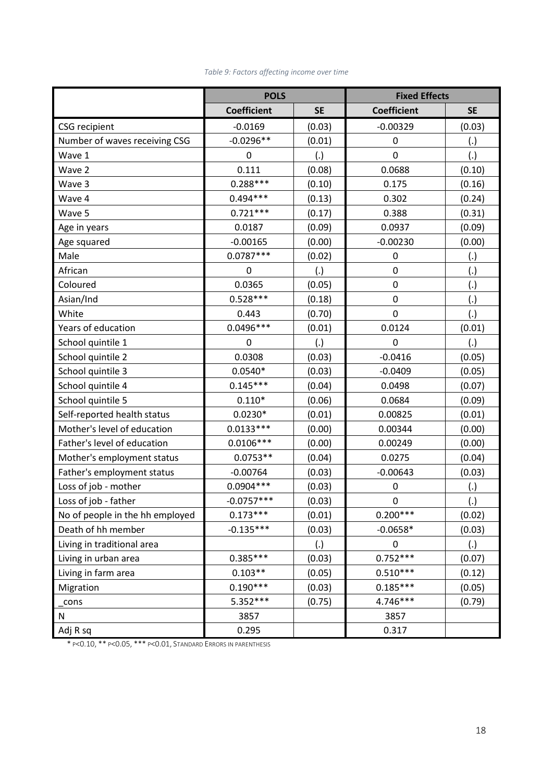|                                 | <b>POLS</b>        |           | <b>Fixed Effects</b> |                    |
|---------------------------------|--------------------|-----------|----------------------|--------------------|
|                                 | <b>Coefficient</b> | <b>SE</b> | <b>Coefficient</b>   | <b>SE</b>          |
| <b>CSG</b> recipient            | $-0.0169$          | (0.03)    | $-0.00329$           | (0.03)             |
| Number of waves receiving CSG   | $-0.0296**$        | (0.01)    | $\boldsymbol{0}$     | $\left( . \right)$ |
| Wave 1                          | $\mathbf 0$        | (.)       | $\mathbf 0$          | (.)                |
| Wave 2                          | 0.111              | (0.08)    | 0.0688               | (0.10)             |
| Wave 3                          | $0.288***$         | (0.10)    | 0.175                | (0.16)             |
| Wave 4                          | $0.494***$         | (0.13)    | 0.302                | (0.24)             |
| Wave 5                          | $0.721***$         | (0.17)    | 0.388                | (0.31)             |
| Age in years                    | 0.0187             | (0.09)    | 0.0937               | (0.09)             |
| Age squared                     | $-0.00165$         | (0.00)    | $-0.00230$           | (0.00)             |
| Male                            | $0.0787***$        | (0.02)    | $\boldsymbol{0}$     | (.)                |
| African                         | $\mathbf 0$        | (.)       | $\mathbf 0$          | (.)                |
| Coloured                        | 0.0365             | (0.05)    | 0                    | (.)                |
| Asian/Ind                       | $0.528***$         | (0.18)    | $\boldsymbol{0}$     | (.)                |
| White                           | 0.443              | (0.70)    | $\mathbf 0$          | (.)                |
| Years of education              | $0.0496***$        | (0.01)    | 0.0124               | (0.01)             |
| School quintile 1               | $\pmb{0}$          | (.)       | $\mathbf 0$          | (.)                |
| School quintile 2               | 0.0308             | (0.03)    | $-0.0416$            | (0.05)             |
| School quintile 3               | $0.0540*$          | (0.03)    | $-0.0409$            | (0.05)             |
| School quintile 4               | $0.145***$         | (0.04)    | 0.0498               | (0.07)             |
| School quintile 5               | $0.110*$           | (0.06)    | 0.0684               | (0.09)             |
| Self-reported health status     | $0.0230*$          | (0.01)    | 0.00825              | (0.01)             |
| Mother's level of education     | $0.0133***$        | (0.00)    | 0.00344              | (0.00)             |
| Father's level of education     | $0.0106***$        | (0.00)    | 0.00249              | (0.00)             |
| Mother's employment status      | $0.0753**$         | (0.04)    | 0.0275               | (0.04)             |
| Father's employment status      | $-0.00764$         | (0.03)    | $-0.00643$           | (0.03)             |
| Loss of job - mother            | $0.0904***$        | (0.03)    | 0                    | (.)                |
| Loss of job - father            | $-0.0757***$       | (0.03)    | 0                    | $\overline{(.)}$   |
| No of people in the hh employed | $0.173***$         | (0.01)    | $0.200***$           | (0.02)             |
| Death of hh member              | $-0.135***$        | (0.03)    | $-0.0658*$           | (0.03)             |
| Living in traditional area      |                    | (.)       | $\boldsymbol{0}$     | (.)                |
| Living in urban area            | $0.385***$         | (0.03)    | $0.752***$           | (0.07)             |
| Living in farm area             | $0.103**$          | (0.05)    | $0.510***$           | (0.12)             |
| Migration                       | $0.190***$         | (0.03)    | $0.185***$           | (0.05)             |
| cons                            | 5.352***           | (0.75)    | 4.746***             | (0.79)             |
| N                               | 3857               |           | 3857                 |                    |
| Adj R sq                        | 0.295              |           | 0.317                |                    |

## *Table 9: Factors affecting income over time*

\* P<0.10, \*\* P<0.05, \*\*\* P<0.01, STANDARD ERRORS IN PARENTHESIS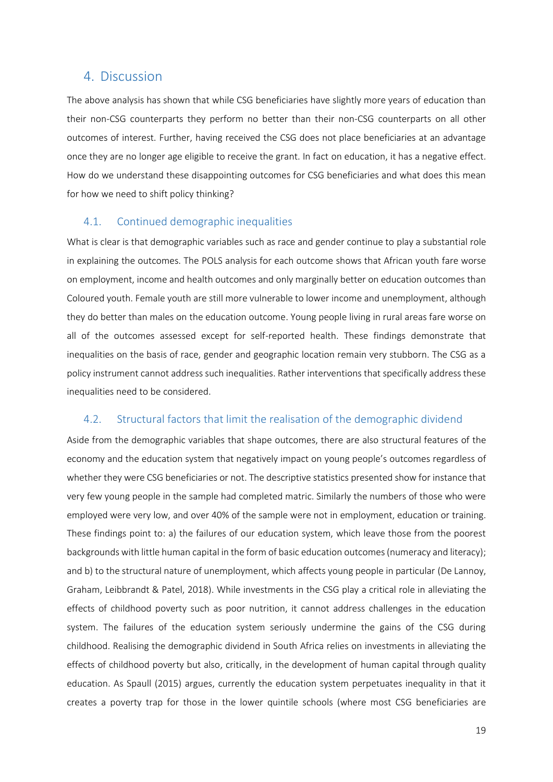## 4. Discussion

The above analysis has shown that while CSG beneficiaries have slightly more years of education than their non-CSG counterparts they perform no better than their non-CSG counterparts on all other outcomes of interest. Further, having received the CSG does not place beneficiaries at an advantage once they are no longer age eligible to receive the grant. In fact on education, it has a negative effect. How do we understand these disappointing outcomes for CSG beneficiaries and what does this mean for how we need to shift policy thinking?

## 4.1. Continued demographic inequalities

What is clear is that demographic variables such as race and gender continue to play a substantial role in explaining the outcomes. The POLS analysis for each outcome shows that African youth fare worse on employment, income and health outcomes and only marginally better on education outcomes than Coloured youth. Female youth are still more vulnerable to lower income and unemployment, although they do better than males on the education outcome. Young people living in rural areas fare worse on all of the outcomes assessed except for self-reported health. These findings demonstrate that inequalities on the basis of race, gender and geographic location remain very stubborn. The CSG as a policy instrument cannot address such inequalities. Rather interventions that specifically address these inequalities need to be considered.

### 4.2. Structural factors that limit the realisation of the demographic dividend

Aside from the demographic variables that shape outcomes, there are also structural features of the economy and the education system that negatively impact on young people's outcomes regardless of whether they were CSG beneficiaries or not. The descriptive statistics presented show for instance that very few young people in the sample had completed matric. Similarly the numbers of those who were employed were very low, and over 40% of the sample were not in employment, education or training. These findings point to: a) the failures of our education system, which leave those from the poorest backgrounds with little human capital in the form of basic education outcomes (numeracy and literacy); and b) to the structural nature of unemployment, which affects young people in particular (De Lannoy, Graham, Leibbrandt & Patel, 2018). While investments in the CSG play a critical role in alleviating the effects of childhood poverty such as poor nutrition, it cannot address challenges in the education system. The failures of the education system seriously undermine the gains of the CSG during childhood. Realising the demographic dividend in South Africa relies on investments in alleviating the effects of childhood poverty but also, critically, in the development of human capital through quality education. As Spaull (2015) argues, currently the education system perpetuates inequality in that it creates a poverty trap for those in the lower quintile schools (where most CSG beneficiaries are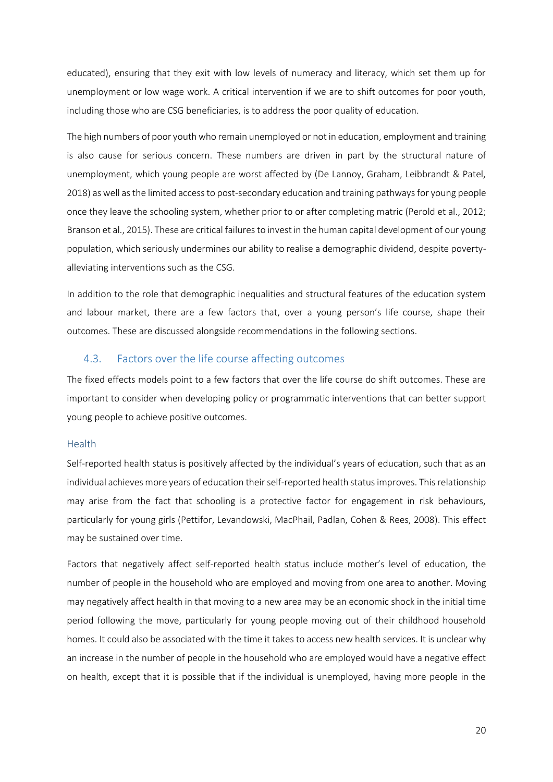educated), ensuring that they exit with low levels of numeracy and literacy, which set them up for unemployment or low wage work. A critical intervention if we are to shift outcomes for poor youth, including those who are CSG beneficiaries, is to address the poor quality of education.

The high numbers of poor youth who remain unemployed or not in education, employment and training is also cause for serious concern. These numbers are driven in part by the structural nature of unemployment, which young people are worst affected by (De Lannoy, Graham, Leibbrandt & Patel, 2018) as well as the limited access to post-secondary education and training pathwaysfor young people once they leave the schooling system, whether prior to or after completing matric (Perold et al., 2012; Branson et al., 2015). These are critical failures to invest in the human capital development of our young population, which seriously undermines our ability to realise a demographic dividend, despite povertyalleviating interventions such as the CSG.

In addition to the role that demographic inequalities and structural features of the education system and labour market, there are a few factors that, over a young person's life course, shape their outcomes. These are discussed alongside recommendations in the following sections.

### 4.3. Factors over the life course affecting outcomes

The fixed effects models point to a few factors that over the life course do shift outcomes. These are important to consider when developing policy or programmatic interventions that can better support young people to achieve positive outcomes.

#### Health

Self-reported health status is positively affected by the individual's years of education, such that as an individual achieves more years of education their self-reported health status improves. This relationship may arise from the fact that schooling is a protective factor for engagement in risk behaviours, particularly for young girls (Pettifor, Levandowski, MacPhail, Padlan, Cohen & Rees, 2008). This effect may be sustained over time.

Factors that negatively affect self-reported health status include mother's level of education, the number of people in the household who are employed and moving from one area to another. Moving may negatively affect health in that moving to a new area may be an economic shock in the initial time period following the move, particularly for young people moving out of their childhood household homes. It could also be associated with the time it takes to access new health services. It is unclear why an increase in the number of people in the household who are employed would have a negative effect on health, except that it is possible that if the individual is unemployed, having more people in the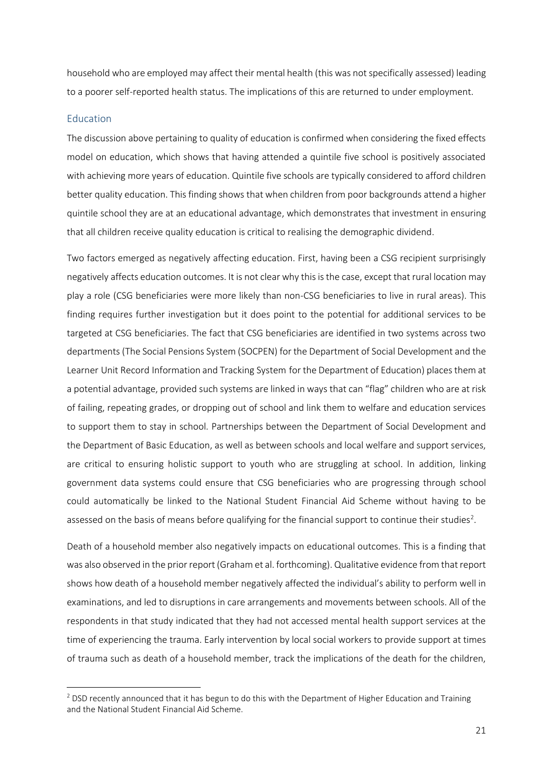household who are employed may affect their mental health (this was not specifically assessed) leading to a poorer self-reported health status. The implications of this are returned to under employment.

#### Education

**.** 

The discussion above pertaining to quality of education is confirmed when considering the fixed effects model on education, which shows that having attended a quintile five school is positively associated with achieving more years of education. Quintile five schools are typically considered to afford children better quality education. This finding shows that when children from poor backgrounds attend a higher quintile school they are at an educational advantage, which demonstrates that investment in ensuring that all children receive quality education is critical to realising the demographic dividend.

Two factors emerged as negatively affecting education. First, having been a CSG recipient surprisingly negatively affects education outcomes. It is not clear why this is the case, except that rural location may play a role (CSG beneficiaries were more likely than non-CSG beneficiaries to live in rural areas). This finding requires further investigation but it does point to the potential for additional services to be targeted at CSG beneficiaries. The fact that CSG beneficiaries are identified in two systems across two departments (The Social Pensions System (SOCPEN) for the Department of Social Development and the Learner Unit Record Information and Tracking System for the Department of Education) places them at a potential advantage, provided such systems are linked in ways that can "flag" children who are at risk of failing, repeating grades, or dropping out of school and link them to welfare and education services to support them to stay in school. Partnerships between the Department of Social Development and the Department of Basic Education, as well as between schools and local welfare and support services, are critical to ensuring holistic support to youth who are struggling at school. In addition, linking government data systems could ensure that CSG beneficiaries who are progressing through school could automatically be linked to the National Student Financial Aid Scheme without having to be assessed on the basis of means before qualifying for the financial support to continue their studies<sup>2</sup>.

Death of a household member also negatively impacts on educational outcomes. This is a finding that was also observed in the prior report (Graham et al. forthcoming). Qualitative evidence from that report shows how death of a household member negatively affected the individual's ability to perform well in examinations, and led to disruptions in care arrangements and movements between schools. All of the respondents in that study indicated that they had not accessed mental health support services at the time of experiencing the trauma. Early intervention by local social workers to provide support at times of trauma such as death of a household member, track the implications of the death for the children,

<sup>&</sup>lt;sup>2</sup> DSD recently announced that it has begun to do this with the Department of Higher Education and Training and the National Student Financial Aid Scheme.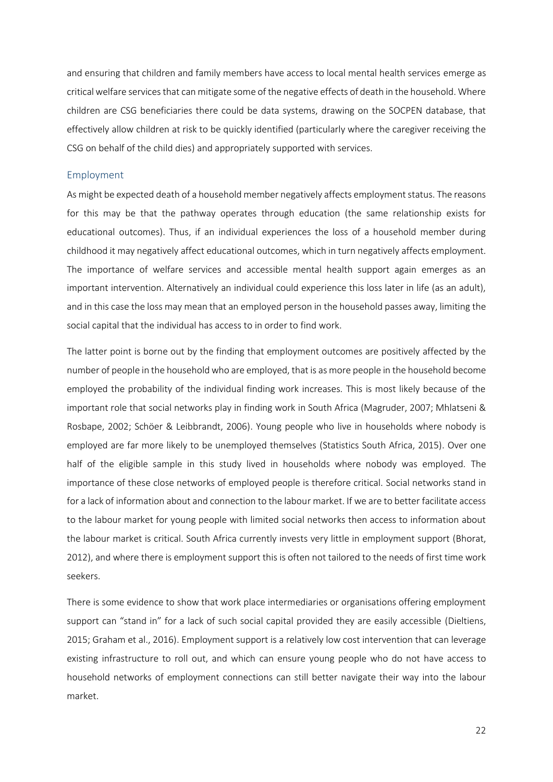and ensuring that children and family members have access to local mental health services emerge as critical welfare services that can mitigate some of the negative effects of death in the household. Where children are CSG beneficiaries there could be data systems, drawing on the SOCPEN database, that effectively allow children at risk to be quickly identified (particularly where the caregiver receiving the CSG on behalf of the child dies) and appropriately supported with services.

#### Employment

As might be expected death of a household member negatively affects employment status. The reasons for this may be that the pathway operates through education (the same relationship exists for educational outcomes). Thus, if an individual experiences the loss of a household member during childhood it may negatively affect educational outcomes, which in turn negatively affects employment. The importance of welfare services and accessible mental health support again emerges as an important intervention. Alternatively an individual could experience this loss later in life (as an adult), and in this case the loss may mean that an employed person in the household passes away, limiting the social capital that the individual has access to in order to find work.

The latter point is borne out by the finding that employment outcomes are positively affected by the number of people in the household who are employed, that is as more people in the household become employed the probability of the individual finding work increases. This is most likely because of the important role that social networks play in finding work in South Africa (Magruder, 2007; Mhlatseni & Rosbape, 2002; Schöer & Leibbrandt, 2006). Young people who live in households where nobody is employed are far more likely to be unemployed themselves (Statistics South Africa, 2015). Over one half of the eligible sample in this study lived in households where nobody was employed. The importance of these close networks of employed people is therefore critical. Social networks stand in for a lack of information about and connection to the labour market. If we are to better facilitate access to the labour market for young people with limited social networks then access to information about the labour market is critical. South Africa currently invests very little in employment support (Bhorat, 2012), and where there is employment support this is often not tailored to the needs of first time work seekers.

There is some evidence to show that work place intermediaries or organisations offering employment support can "stand in" for a lack of such social capital provided they are easily accessible (Dieltiens, 2015; Graham et al., 2016). Employment support is a relatively low cost intervention that can leverage existing infrastructure to roll out, and which can ensure young people who do not have access to household networks of employment connections can still better navigate their way into the labour market.

22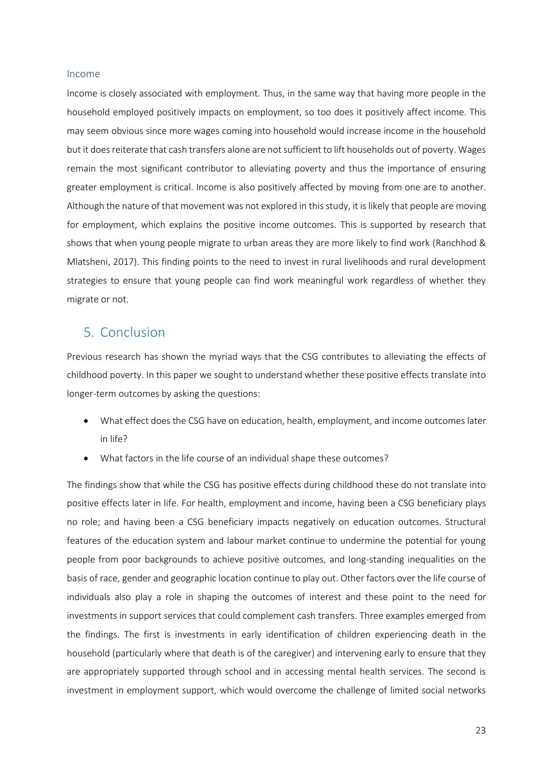#### Income

Income is closely associated with employment. Thus, in the same way that having more people in the household employed positively impacts on employment, so too does it positively affect income. This may seem obvious since more wages coming into household would increase income in the household but it does reiterate that cash transfers alone are not sufficient to lift households out of poverty. Wages remain the most significant contributor to alleviating poverty and thus the importance of ensuring greater employment is critical. Income is also positively affected by moving from one are to another. Although the nature of that movement was not explored in this study, it is likely that people are moving for employment, which explains the positive income outcomes. This is supported by research that shows that when young people migrate to urban areas they are more likely to find work (Ranchhod & Mlatsheni, 2017). This finding points to the need to invest in rural livelihoods and rural development strategies to ensure that young people can find work meaningful work regardless of whether they migrate or not.

## 5. Conclusion

Previous research has shown the myriad ways that the CSG contributes to alleviating the effects of childhood poverty. In this paper we sought to understand whether these positive effects translate into longer-term outcomes by asking the questions:

- What effect does the CSG have on education, health, employment, and income outcomes later in life?
- What factors in the life course of an individual shape these outcomes?

The findings show that while the CSG has positive effects during childhood these do not translate into positive effects later in life. For health, employment and income, having been a CSG beneficiary plays no role; and having been a CSG beneficiary impacts negatively on education outcomes. Structural features of the education system and labour market continue to undermine the potential for young people from poor backgrounds to achieve positive outcomes, and long-standing inequalities on the basis of race, gender and geographic location continue to play out. Other factors over the life course of individuals also play a role in shaping the outcomes of interest and these point to the need for investments in support services that could complement cash transfers. Three examples emerged from the findings. The first is investments in early identification of children experiencing death in the household (particularly where that death is of the caregiver) and intervening early to ensure that they are appropriately supported through school and in accessing mental health services. The second is investment in employment support, which would overcome the challenge of limited social networks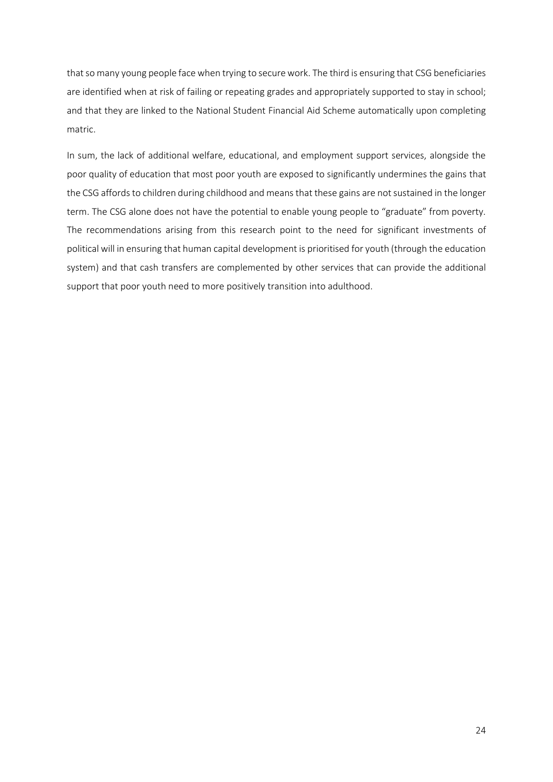that so many young people face when trying to secure work. The third is ensuring that CSG beneficiaries are identified when at risk of failing or repeating grades and appropriately supported to stay in school; and that they are linked to the National Student Financial Aid Scheme automatically upon completing matric.

In sum, the lack of additional welfare, educational, and employment support services, alongside the poor quality of education that most poor youth are exposed to significantly undermines the gains that the CSG affords to children during childhood and means that these gains are not sustained in the longer term. The CSG alone does not have the potential to enable young people to "graduate" from poverty. The recommendations arising from this research point to the need for significant investments of political will in ensuring that human capital development is prioritised for youth (through the education system) and that cash transfers are complemented by other services that can provide the additional support that poor youth need to more positively transition into adulthood.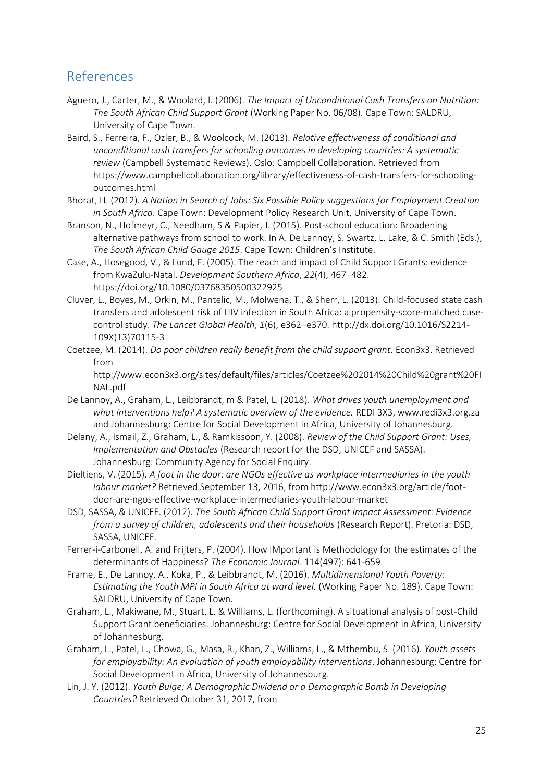## References

- Aguero, J., Carter, M., & Woolard, I. (2006). *The Impact of Unconditional Cash Transfers on Nutrition: The South African Child Support Grant* (Working Paper No. 06/08). Cape Town: SALDRU, University of Cape Town.
- Baird, S., Ferreira, F., Ozler, B., & Woolcock, M. (2013). *Relative effectiveness of conditional and unconditional cash transfers for schooling outcomes in developing countries: A systematic review* (Campbell Systematic Reviews). Oslo: Campbell Collaboration. Retrieved from https://www.campbellcollaboration.org/library/effectiveness-of-cash-transfers-for-schoolingoutcomes.html
- Bhorat, H. (2012). *A Nation in Search of Jobs: Six Possible Policy suggestions for Employment Creation in South Africa*. Cape Town: Development Policy Research Unit, University of Cape Town.
- Branson, N., Hofmeyr, C., Needham, S & Papier, J. (2015). Post-school education: Broadening alternative pathways from school to work. In A. De Lannoy, S. Swartz, L. Lake, & C. Smith (Eds.), *The South African Child Gauge 2015*. Cape Town: Children's Institute.
- Case, A., Hosegood, V., & Lund, F. (2005). The reach and impact of Child Support Grants: evidence from KwaZulu-Natal. *Development Southern Africa*, *22*(4), 467–482. https://doi.org/10.1080/03768350500322925
- Cluver, L., Boyes, M., Orkin, M., Pantelic, M., Molwena, T., & Sherr, L. (2013). Child-focused state cash transfers and adolescent risk of HIV infection in South Africa: a propensity-score-matched casecontrol study. *The Lancet Global Health*, *1*(6), e362–e370. http://dx.doi.org/10.1016/S2214- 109X(13)70115-3
- Coetzee, M. (2014). *Do poor children really benefit from the child support grant*. Econ3x3. Retrieved from

http://www.econ3x3.org/sites/default/files/articles/Coetzee%202014%20Child%20grant%20FI NAL.pdf

- De Lannoy, A., Graham, L., Leibbrandt, m & Patel, L. (2018). *What drives youth unemployment and what interventions help? A systematic overview of the evidence.* REDI 3X3, www.redi3x3.org.za and Johannesburg: Centre for Social Development in Africa, University of Johannesburg.
- Delany, A., Ismail, Z., Graham, L., & Ramkissoon, Y. (2008). *Review of the Child Support Grant: Uses, Implementation and Obstacles* (Research report for the DSD, UNICEF and SASSA). Johannesburg: Community Agency for Social Enquiry.
- Dieltiens, V. (2015). *A foot in the door: are NGOs effective as workplace intermediaries in the youth labour market?* Retrieved September 13, 2016, from http://www.econ3x3.org/article/footdoor-are-ngos-effective-workplace-intermediaries-youth-labour-market
- DSD, SASSA, & UNICEF. (2012). *The South African Child Support Grant Impact Assessment: Evidence from a survey of children, adolescents and their households* (Research Report). Pretoria: DSD, SASSA, UNICEF.
- Ferrer-i-Carbonell, A. and Frijters, P. (2004). How IMportant is Methodology for the estimates of the determinants of Happiness? *The Economic Journal.* 114(497): 641-659.
- Frame, E., De Lannoy, A., Koka, P., & Leibbrandt, M. (2016). *Multidimensional Youth Poverty: Estimating the Youth MPI in South Africa at ward level.* (Working Paper No. 189). Cape Town: SALDRU, University of Cape Town.
- Graham, L., Makiwane, M., Stuart, L. & Williams, L. (forthcoming). A situational analysis of post-Child Support Grant beneficiaries. Johannesburg: Centre for Social Development in Africa, University of Johannesburg.
- Graham, L., Patel, L., Chowa, G., Masa, R., Khan, Z., Williams, L., & Mthembu, S. (2016). *Youth assets for employability: An evaluation of youth employability interventions*. Johannesburg: Centre for Social Development in Africa, University of Johannesburg.
- Lin, J. Y. (2012). *Youth Bulge: A Demographic Dividend or a Demographic Bomb in Developing Countries?* Retrieved October 31, 2017, from